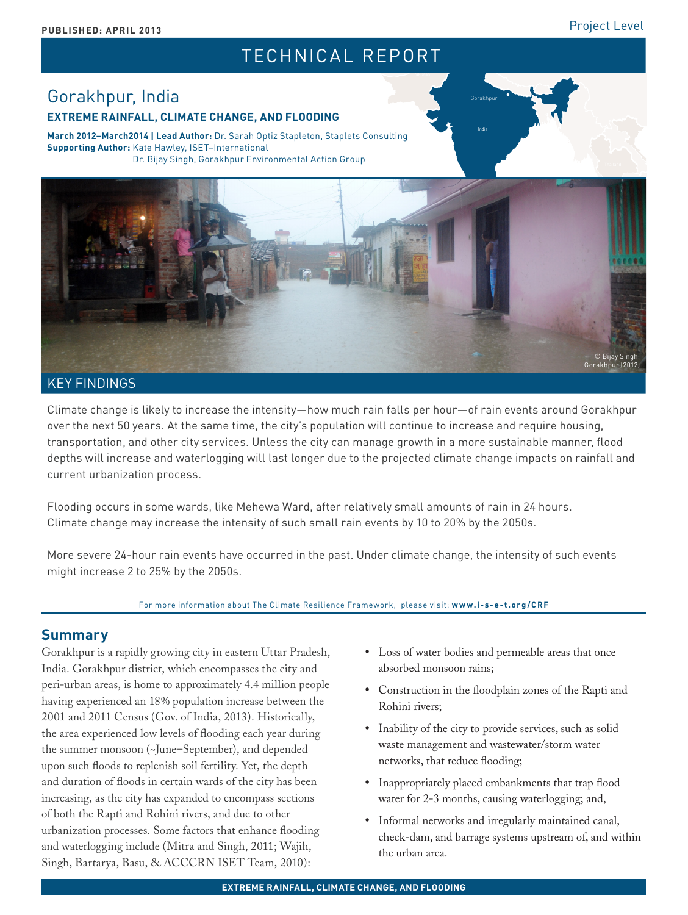# TECHNICAL REPORT

# Gorakhpur, India **EXTREME RAINFALL, CLIMATE CHANGE, AND FLOODING**

**March 2012–March2014 | Lead Author:** Dr. Sarah Optiz Stapleton, Staplets Consulting **Supporting Author:** Kate Hawley, ISET–International Dr. Bijay Singh, Gorakhpur Environmental Action Group



### KEY FINDINGS

Climate change is likely to increase the intensity—how much rain falls per hour—of rain events around Gorakhpur over the next 50 years. At the same time, the city's population will continue to increase and require housing, transportation, and other city services. Unless the city can manage growth in a more sustainable manner, flood depths will increase and waterlogging will last longer due to the projected climate change impacts on rainfall and current urbanization process.

Flooding occurs in some wards, like Mehewa Ward, after relatively small amounts of rain in 24 hours. Climate change may increase the intensity of such small rain events by 10 to 20% by the 2050s.

More severe 24-hour rain events have occurred in the past. Under climate change, the intensity of such events might increase 2 to 25% by the 2050s.

#### For more information about The Climate Resilience Framework, please visit: **www.i-s-e-t.org/CRF**

# **Summary**

Gorakhpur is a rapidly growing city in eastern Uttar Pradesh, India. Gorakhpur district, which encompasses the city and peri-urban areas, is home to approximately 4.4 million people having experienced an 18% population increase between the 2001 and 2011 Census (Gov. of India, 2013). Historically, the area experienced low levels of flooding each year during the summer monsoon (~June–September), and depended upon such floods to replenish soil fertility. Yet, the depth and duration of floods in certain wards of the city has been increasing, as the city has expanded to encompass sections of both the Rapti and Rohini rivers, and due to other urbanization processes. Some factors that enhance flooding and waterlogging include (Mitra and Singh, 2011; Wajih, Singh, Bartarya, Basu, & ACCCRN ISET Team, 2010):

• Loss of water bodies and permeable areas that once absorbed monsoon rains;

Gorakhpur

- • Construction in the floodplain zones of the Rapti and Rohini rivers;
- Inability of the city to provide services, such as solid waste management and wastewater/storm water networks, that reduce flooding;
- Inappropriately placed embankments that trap flood water for 2-3 months, causing waterlogging; and,
- • Informal networks and irregularly maintained canal, check-dam, and barrage systems upstream of, and within the urban area.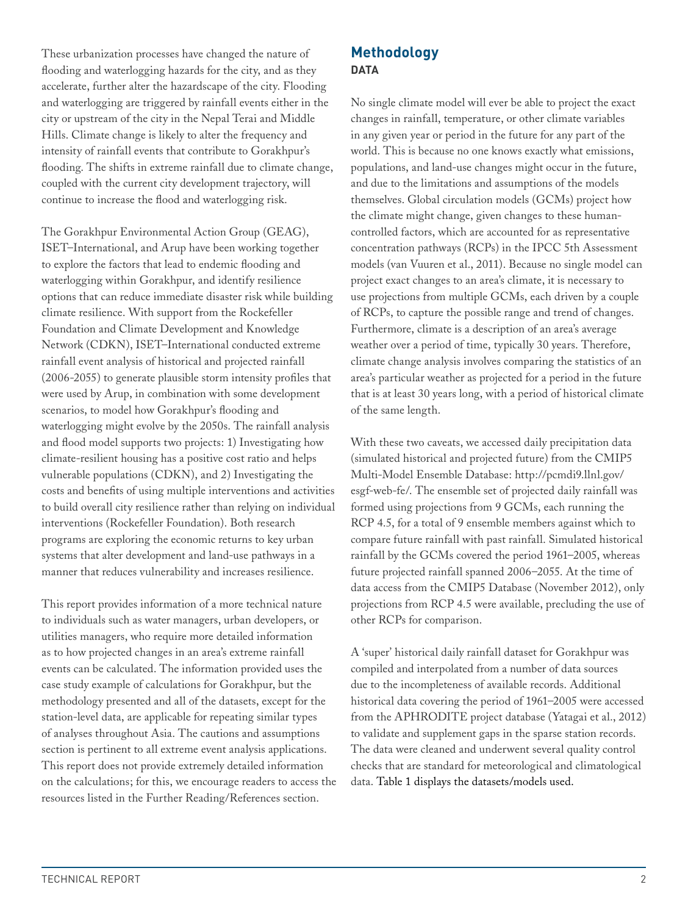These urbanization processes have changed the nature of flooding and waterlogging hazards for the city, and as they accelerate, further alter the hazardscape of the city. Flooding and waterlogging are triggered by rainfall events either in the city or upstream of the city in the Nepal Terai and Middle Hills. Climate change is likely to alter the frequency and intensity of rainfall events that contribute to Gorakhpur's flooding. The shifts in extreme rainfall due to climate change, coupled with the current city development trajectory, will continue to increase the flood and waterlogging risk.

The Gorakhpur Environmental Action Group (GEAG), ISET–International, and Arup have been working together to explore the factors that lead to endemic flooding and waterlogging within Gorakhpur, and identify resilience options that can reduce immediate disaster risk while building climate resilience. With support from the Rockefeller Foundation and Climate Development and Knowledge Network (CDKN), ISET–International conducted extreme rainfall event analysis of historical and projected rainfall (2006-2055) to generate plausible storm intensity profiles that were used by Arup, in combination with some development scenarios, to model how Gorakhpur's flooding and waterlogging might evolve by the 2050s. The rainfall analysis and flood model supports two projects: 1) Investigating how climate-resilient housing has a positive cost ratio and helps vulnerable populations (CDKN), and 2) Investigating the costs and benefits of using multiple interventions and activities to build overall city resilience rather than relying on individual interventions (Rockefeller Foundation). Both research programs are exploring the economic returns to key urban systems that alter development and land-use pathways in a manner that reduces vulnerability and increases resilience.

This report provides information of a more technical nature to individuals such as water managers, urban developers, or utilities managers, who require more detailed information as to how projected changes in an area's extreme rainfall events can be calculated. The information provided uses the case study example of calculations for Gorakhpur, but the methodology presented and all of the datasets, except for the station-level data, are applicable for repeating similar types of analyses throughout Asia. The cautions and assumptions section is pertinent to all extreme event analysis applications. This report does not provide extremely detailed information on the calculations; for this, we encourage readers to access the resources listed in the Further Reading/References section.

# **Methodology DATA**

No single climate model will ever be able to project the exact changes in rainfall, temperature, or other climate variables in any given year or period in the future for any part of the world. This is because no one knows exactly what emissions, populations, and land-use changes might occur in the future, and due to the limitations and assumptions of the models themselves. Global circulation models (GCMs) project how the climate might change, given changes to these humancontrolled factors, which are accounted for as representative concentration pathways (RCPs) in the IPCC 5th Assessment models (van Vuuren et al., 2011). Because no single model can project exact changes to an area's climate, it is necessary to use projections from multiple GCMs, each driven by a couple of RCPs, to capture the possible range and trend of changes. Furthermore, climate is a description of an area's average weather over a period of time, typically 30 years. Therefore, climate change analysis involves comparing the statistics of an area's particular weather as projected for a period in the future that is at least 30 years long, with a period of historical climate of the same length.

With these two caveats, we accessed daily precipitation data (simulated historical and projected future) from the CMIP5 Multi-Model Ensemble Database: [http://pcmdi9.llnl.gov/](http://pcmdi9.llnl.gov/esgf-web-fe/) [esgf-web-fe/](http://pcmdi9.llnl.gov/esgf-web-fe/). The ensemble set of projected daily rainfall was formed using projections from 9 GCMs, each running the RCP 4.5, for a total of 9 ensemble members against which to compare future rainfall with past rainfall. Simulated historical rainfall by the GCMs covered the period 1961–2005, whereas future projected rainfall spanned 2006–2055. At the time of data access from the CMIP5 Database (November 2012), only projections from RCP 4.5 were available, precluding the use of other RCPs for comparison.

A 'super' historical daily rainfall dataset for Gorakhpur was compiled and interpolated from a number of data sources due to the incompleteness of available records. Additional historical data covering the period of 1961–2005 were accessed from the APHRODITE project database (Yatagai et al., 2012) to validate and supplement gaps in the sparse station records. The data were cleaned and underwent several quality control checks that are standard for meteorological and climatological data. Table 1 displays the datasets/models used.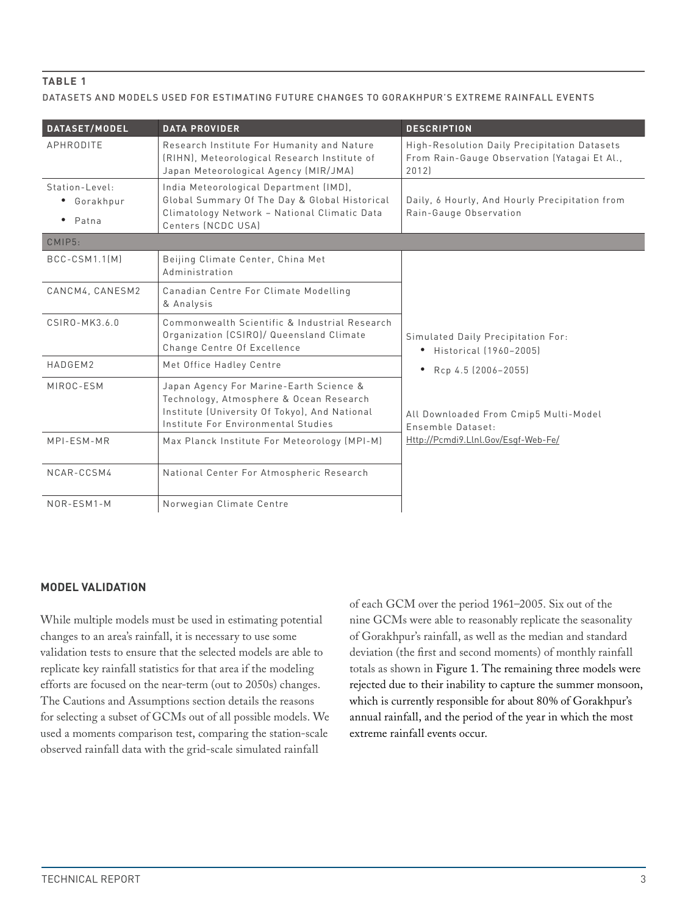### **Table 1**

DATASETS AND MODELS USED FOR ESTIMATING FUTURE CHANGES TO GORAKHPUR'S EXTREME RAINFALL EVENTS

| <b>DATASET/MODEL</b>                                | <b>DATA PROVIDER</b>                                                                                                                                                       | <b>DESCRIPTION</b>                                                                                    |
|-----------------------------------------------------|----------------------------------------------------------------------------------------------------------------------------------------------------------------------------|-------------------------------------------------------------------------------------------------------|
| APHRODITE                                           | Research Institute For Humanity and Nature<br>(RIHN), Meteorological Research Institute of<br>Japan Meteorological Agency (MIR/JMA)                                        | High-Resolution Daily Precipitation Datasets<br>From Rain-Gauge Observation (Yatagai Et Al.,<br>2012] |
| Station-Level:<br>• Gorakhpur<br>$\bullet$<br>Patna | India Meteorological Department (IMD),<br>Global Summary Of The Day & Global Historical<br>Climatology Network - National Climatic Data<br>Centers (NCDC USA)              | Daily, 6 Hourly, And Hourly Precipitation from<br>Rain-Gauge Observation                              |
| CMIP5:                                              |                                                                                                                                                                            |                                                                                                       |
| BCC-CSM1.1[M]                                       | Beijing Climate Center, China Met<br>Administration                                                                                                                        |                                                                                                       |
| CANCM4, CANESM2                                     | Canadian Centre For Climate Modelling<br>& Analysis                                                                                                                        |                                                                                                       |
| CSIRO-MK3.6.0                                       | Commonwealth Scientific & Industrial Research<br>Organization (CSIRO)/ Queensland Climate<br>Change Centre Of Excellence                                                   | Simulated Daily Precipitation For:<br>Historical (1960-2005)<br>٠                                     |
| HADGFM2                                             | Met Office Hadley Centre                                                                                                                                                   | Rcp 4.5 (2006-2055)<br>$\bullet$                                                                      |
| MIROC-ESM                                           | Japan Agency For Marine-Earth Science &<br>Technology, Atmosphere & Ocean Research<br>Institute (University Of Tokyo), And National<br>Institute For Environmental Studies | All Downloaded From Cmip5 Multi-Model<br>Fnsemble Dataset:                                            |
| MPI-ESM-MR                                          | Max Planck Institute For Meteorology (MPI-M)                                                                                                                               | Http://Pcmdi9.Llnl.Gov/Esgf-Web-Fe/                                                                   |
| NCAR-CCSM4                                          | National Center For Atmospheric Research                                                                                                                                   |                                                                                                       |
| NOR-ESM1-M                                          | Norwegian Climate Centre                                                                                                                                                   |                                                                                                       |

### **MODEL VALIDATION**

While multiple models must be used in estimating potential changes to an area's rainfall, it is necessary to use some validation tests to ensure that the selected models are able to replicate key rainfall statistics for that area if the modeling efforts are focused on the near-term (out to 2050s) changes. The Cautions and Assumptions section details the reasons for selecting a subset of GCMs out of all possible models. We used a moments comparison test, comparing the station-scale observed rainfall data with the grid-scale simulated rainfall

of each GCM over the period 1961–2005. Six out of the nine GCMs were able to reasonably replicate the seasonality of Gorakhpur's rainfall, as well as the median and standard deviation (the first and second moments) of monthly rainfall totals as shown in Figure 1. The remaining three models were rejected due to their inability to capture the summer monsoon, which is currently responsible for about 80% of Gorakhpur's annual rainfall, and the period of the year in which the most extreme rainfall events occur.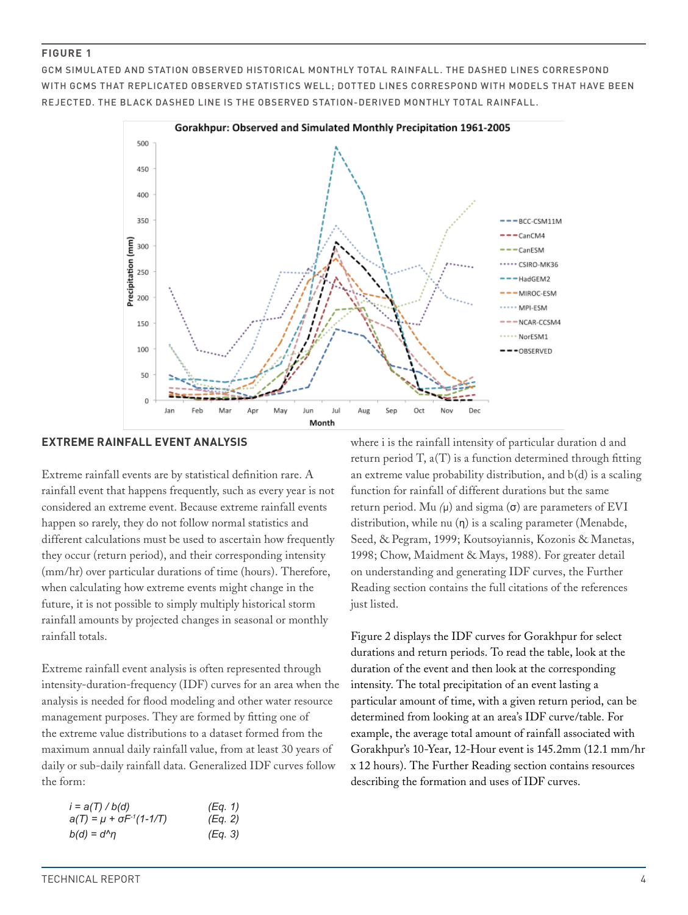GCM SIMUL ATED AND STATION OBSERVED HISTORICAL MONTHLY TOTAL RAINFALL. THE DASHED LINES CORRESPOND WITH GCMS THAT REPLICATED OBSERVED STATISTICS WELL: DOTTED LINES CORRESPOND WITH MODELS THAT HAVE BEEN REJECTED. THE BLACK DASHED LINE IS THE OBSERVED STATION-DERIVED MONTHLY TOTAL RAINFALL.



#### **EXTREME RAINFALL EVENT ANALYSIS**

Extreme rainfall events are by statistical definition rare. A rainfall event that happens frequently, such as every year is not considered an extreme event. Because extreme rainfall events happen so rarely, they do not follow normal statistics and different calculations must be used to ascertain how frequently they occur (return period), and their corresponding intensity (mm/hr) over particular durations of time (hours). Therefore, when calculating how extreme events might change in the future, it is not possible to simply multiply historical storm rainfall amounts by projected changes in seasonal or monthly rainfall totals.

Extreme rainfall event analysis is often represented through intensity-duration-frequency (IDF) curves for an area when the analysis is needed for flood modeling and other water resource management purposes. They are formed by fitting one of the extreme value distributions to a dataset formed from the maximum annual daily rainfall value, from at least 30 years of daily or sub-daily rainfall data. Generalized IDF curves follow the form:

| $i = a(T) / b(d)$                     | (Eq. 1) |
|---------------------------------------|---------|
| $a(T) = \mu + \sigma F^{-1}(1 - 1/T)$ | (Eq. 2) |
| $b(d) = d^n \eta$                     | (Eq. 3) |

where i is the rainfall intensity of particular duration d and return period  $T$ ,  $a(T)$  is a function determined through fitting an extreme value probability distribution, and  $b(d)$  is a scaling function for rainfall of different durations but the same return period. Mu *(*μ) and sigma (σ) are parameters of EVI distribution, while nu  $(\eta)$  is a scaling parameter (Menabde, Seed, & Pegram, 1999; Koutsoyiannis, Kozonis & Manetas, 1998; Chow, Maidment & Mays, 1988). For greater detail on understanding and generating IDF curves, the Further Reading section contains the full citations of the references just listed.

[Figure 2](#page-5-0) displays the IDF curves for Gorakhpur for select durations and return periods. To read the table, look at the duration of the event and then look at the corresponding intensity. The total precipitation of an event lasting a particular amount of time, with a given return period, can be determined from looking at an area's IDF curve/table. For example, the average total amount of rainfall associated with Gorakhpur's 10-Year, 12-Hour event is 145.2mm (12.1 mm/hr x 12 hours). The Further Reading section contains resources describing the formation and uses of IDF curves.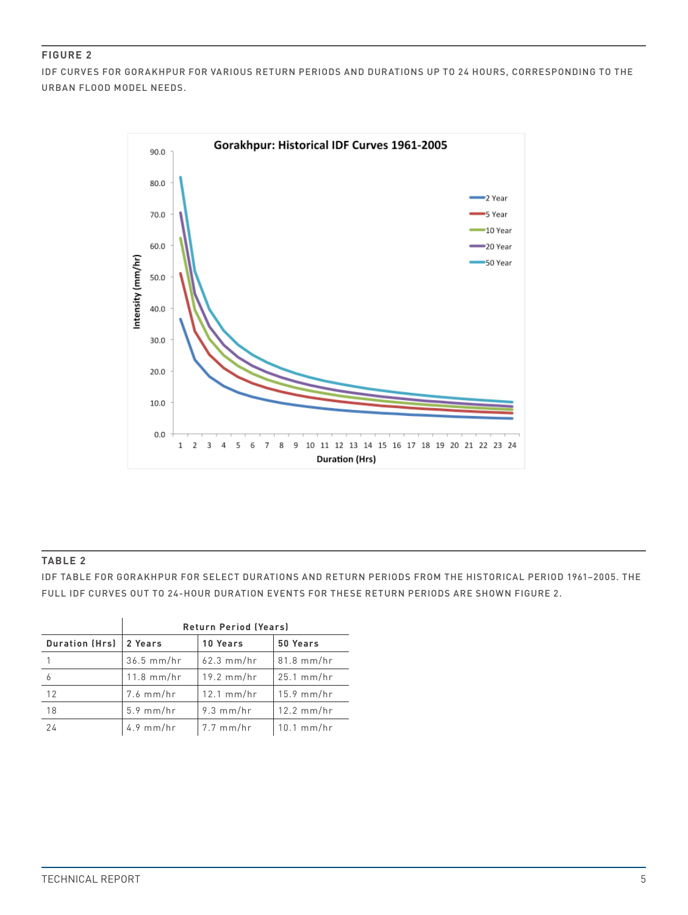IDF CURVES FOR GORAKHPUR FOR VARIOUS RETURN PERIODS AND DURATIONS UP TO 24 HOURS, CORRESPONDING TO THE URBAN FLOOD MODEL NEEDS.



### **Table 2**

IDF TABLE FOR GORAKHPUR FOR SELECT DURATIONS AND RETURN PERIODS FROM THE HISTORICAL PERIOD 1961–2005. THE FULL IDF CURVES OUT TO 24-HOUR DURATION EVENTS FOR THESE RETURN PERIODS ARE SHOWN FIGURE 2.

|                       | <b>Return Period (Years)</b> |              |              |
|-----------------------|------------------------------|--------------|--------------|
| <b>Duration (Hrs)</b> | 2 Years                      | 10 Years     | 50 Years     |
|                       | $36.5$ mm/hr                 | $62.3$ mm/hr | $81.8$ mm/hr |
| 6                     | $11.8$ mm/hr                 | $19.2$ mm/hr | $25.1$ mm/hr |
| 12                    | $7.6$ mm/hr                  | $12.1$ mm/hr | $15.9$ mm/hr |
| 18                    | $5.9$ mm/hr                  | $9.3$ mm/hr  | $12.2$ mm/hr |
| 24                    | $4.9$ mm/hr                  | $7.7$ mm/hr  | $10.1$ mm/hr |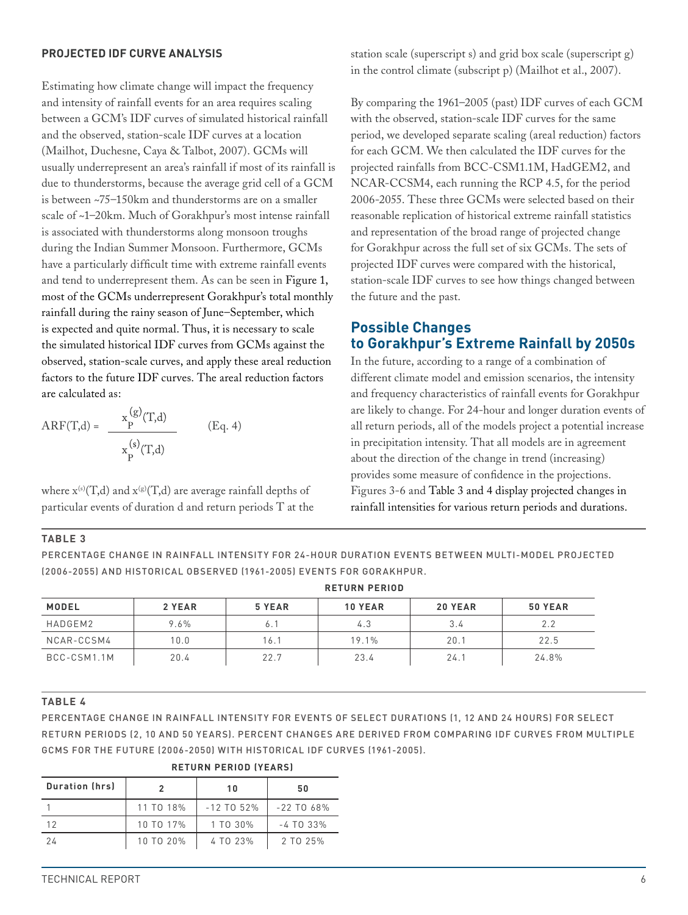### <span id="page-5-0"></span>**PROJECTED IDF CURVE ANALYSIS**

Estimating how climate change will impact the frequency and intensity of rainfall events for an area requires scaling between a GCM's IDF curves of simulated historical rainfall and the observed, station-scale IDF curves at a location (Mailhot, Duchesne, Caya & Talbot, 2007). GCMs will usually underrepresent an area's rainfall if most of its rainfall is due to thunderstorms, because the average grid cell of a GCM is between ~75–150km and thunderstorms are on a smaller scale of ~1–20km. Much of Gorakhpur's most intense rainfall is associated with thunderstorms along monsoon troughs during the Indian Summer Monsoon. Furthermore, GCMs have a particularly difficult time with extreme rainfall events and tend to underrepresent them. As can be seen in Figure 1, most of the GCMs underrepresent Gorakhpur's total monthly rainfall during the rainy season of June–September, which is expected and quite normal. Thus, it is necessary to scale the simulated historical IDF curves from GCMs against the observed, station-scale curves, and apply these areal reduction factors to the future IDF curves. The areal reduction factors are calculated as:

$$
ARF(T,d) = \frac{x_{P}^{(g)}(T,d)}{x_{P}^{(s)}(T,d)}
$$
 (Eq. 4)

where  $x^{(s)}(T,d)$  and  $x^{(g)}(T,d)$  are average rainfall depths of particular events of duration d and return periods T at the station scale (superscript s) and grid box scale (superscript g) in the control climate (subscript p) (Mailhot et al., 2007).

By comparing the 1961–2005 (past) IDF curves of each GCM with the observed, station-scale IDF curves for the same period, we developed separate scaling (areal reduction) factors for each GCM. We then calculated the IDF curves for the projected rainfalls from BCC-CSM1.1M, HadGEM2, and NCAR-CCSM4, each running the RCP 4.5, for the period 2006-2055. These three GCMs were selected based on their reasonable replication of historical extreme rainfall statistics and representation of the broad range of projected change for Gorakhpur across the full set of six GCMs. The sets of projected IDF curves were compared with the historical, station-scale IDF curves to see how things changed between the future and the past.

# **Possible Changes to Gorakhpur's Extreme Rainfall by 2050s**

In the future, according to a range of a combination of different climate model and emission scenarios, the intensity and frequency characteristics of rainfall events for Gorakhpur are likely to change. For 24-hour and longer duration events of all return periods, all of the models project a potential increase in precipitation intensity. That all models are in agreement about the direction of the change in trend (increasing) provides some measure of confidence in the projections. Figures 3-6 and Table 3 and 4 display projected changes in rainfall intensities for various return periods and durations.

#### **Table 3**

PERCENTAGE CHANGE IN RAINFALL INTENSITY FOR 24-HOUR DURATION EVENTS BETWEEN MULTI-MODEL PROJECTED (2006-2055) AND HISTORICAL OBSERVED (1961-2005) EVENTS FOR GORAKHPUR.

**RETURN PERIOD**

|              | REIURN FERIUD |        |                |         |         |
|--------------|---------------|--------|----------------|---------|---------|
| <b>MODEL</b> | 2 YEAR        | 5 YEAR | <b>10 YEAR</b> | 20 YEAR | 50 YEAR |
| HADGEM2      | 9.6%          | 6.     | 4.3            | 3.4     | 2.2     |
| NCAR-CCSM4   | 10.0          | 16.1   | 19.1%          | 20.1    | 22.5    |
| BCC-CSM1.1M  | 20.4          | 22.7   | 23.4           | 24.1    | 24.8%   |

#### **Table 4**

PERCENTAGE CHANGE IN RAINFALL INTENSITY FOR EVENTS OF SELECT DURATIONS (1, 12 AND 24 HOURS) FOR SELECT RETURN PERIODS (2, 10 AND 50 YEARS). PERCENT CHANGES ARE DERIVED FROM COMPARING IDF CURVES FROM MULTIPLE GCMS FOR THE FUTURE (2006-2050) WITH HISTORICAL IDF CURVES (1961-2005).

| <b>Duration (hrs)</b> |           | 10           | 50           |
|-----------------------|-----------|--------------|--------------|
|                       | 11 TO 18% | $-12$ TO 52% | $-22$ TO 68% |
| 12                    | 10 TO 17% | 1 TO 30%     | $-4$ TO 33%  |
| 24                    | 10 TO 20% | 4 TO 23%     | 2 TO 25%     |

### **RETURN PERIOD (YEARS)**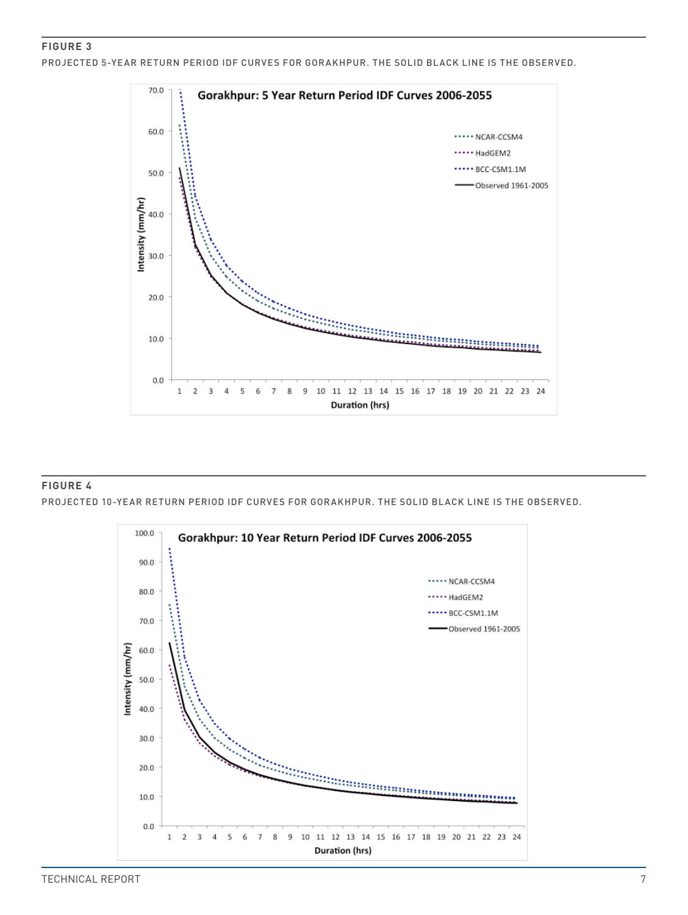PROJECTED 5-YEAR RETURN PERIOD IDF CURVES FOR GORAKHPUR. THE SOLID BLACK LINE IS THE OBSERVED.



### **Figure 4** PROJECTED 10-YEAR RETURN PERIOD IDF CURVES FOR GORAKHPUR. THE SOLID BLACK LINE IS THE OBSERVED.



TECHNICAL REPORT 7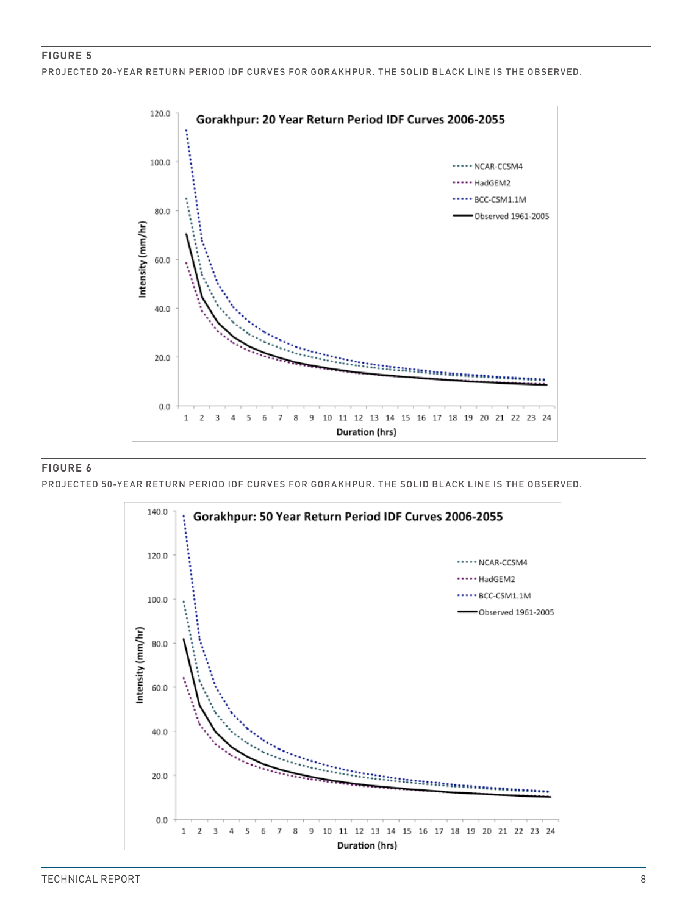PROJECTED 20-YEAR RETURN PERIOD IDF CURVES FOR GORAKHPUR. THE SOLID BLACK LINE IS THE OBSERVED.



#### **Figure 6**

 $\overline{a}$ 

PROJECTED 50-YEAR RETURN PERIOD IDF CURVES FOR GORAKHPUR. THE SOLID BLACK LINE IS THE OBSERVED.

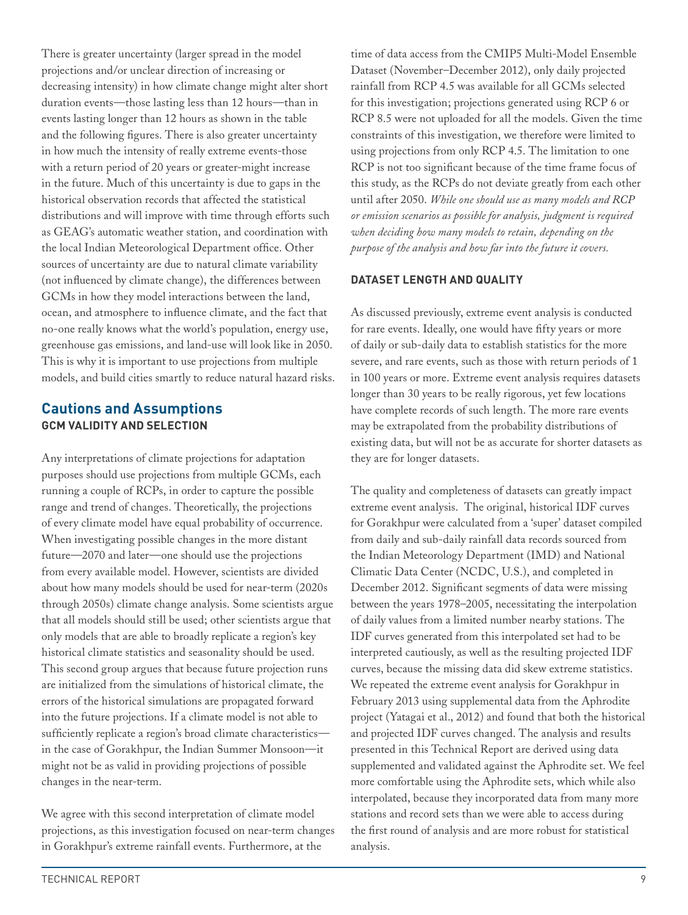There is greater uncertainty (larger spread in the model projections and/or unclear direction of increasing or decreasing intensity) in how climate change might alter short duration events—those lasting less than 12 hours—than in events lasting longer than 12 hours as shown in the table and the following figures. There is also greater uncertainty in how much the intensity of really extreme events-those with a return period of 20 years or greater-might increase in the future. Much of this uncertainty is due to gaps in the historical observation records that affected the statistical distributions and will improve with time through efforts such as GEAG's automatic weather station, and coordination with the local Indian Meteorological Department office. Other sources of uncertainty are due to natural climate variability (not influenced by climate change), the differences between GCMs in how they model interactions between the land, ocean, and atmosphere to influence climate, and the fact that no-one really knows what the world's population, energy use, greenhouse gas emissions, and land-use will look like in 2050. This is why it is important to use projections from multiple models, and build cities smartly to reduce natural hazard risks.

# **Cautions and Assumptions GCM VALIDITY AND SELECTION**

Any interpretations of climate projections for adaptation purposes should use projections from multiple GCMs, each running a couple of RCPs, in order to capture the possible range and trend of changes. Theoretically, the projections of every climate model have equal probability of occurrence. When investigating possible changes in the more distant future—2070 and later—one should use the projections from every available model. However, scientists are divided about how many models should be used for near-term (2020s through 2050s) climate change analysis. Some scientists argue that all models should still be used; other scientists argue that only models that are able to broadly replicate a region's key historical climate statistics and seasonality should be used. This second group argues that because future projection runs are initialized from the simulations of historical climate, the errors of the historical simulations are propagated forward into the future projections. If a climate model is not able to sufficiently replicate a region's broad climate characteristics in the case of Gorakhpur, the Indian Summer Monsoon—it might not be as valid in providing projections of possible changes in the near-term.

We agree with this second interpretation of climate model projections, as this investigation focused on near-term changes in Gorakhpur's extreme rainfall events. Furthermore, at the

time of data access from the CMIP5 Multi-Model Ensemble Dataset (November–December 2012), only daily projected rainfall from RCP 4.5 was available for all GCMs selected for this investigation; projections generated using RCP 6 or RCP 8.5 were not uploaded for all the models. Given the time constraints of this investigation, we therefore were limited to using projections from only RCP 4.5. The limitation to one RCP is not too significant because of the time frame focus of this study, as the RCPs do not deviate greatly from each other until after 2050. *While one should use as many models and RCP or emission scenarios as possible for analysis, judgment is required when deciding how many models to retain, depending on the purpose of the analysis and how far into the future it covers.*

### **DATASET LENGTH AND QUALITY**

As discussed previously, extreme event analysis is conducted for rare events. Ideally, one would have fifty years or more of daily or sub-daily data to establish statistics for the more severe, and rare events, such as those with return periods of 1 in 100 years or more. Extreme event analysis requires datasets longer than 30 years to be really rigorous, yet few locations have complete records of such length. The more rare events may be extrapolated from the probability distributions of existing data, but will not be as accurate for shorter datasets as they are for longer datasets.

The quality and completeness of datasets can greatly impact extreme event analysis. The original, historical IDF curves for Gorakhpur were calculated from a 'super' dataset compiled from daily and sub-daily rainfall data records sourced from the Indian Meteorology Department (IMD) and National Climatic Data Center (NCDC, U.S.), and completed in December 2012. Significant segments of data were missing between the years 1978–2005, necessitating the interpolation of daily values from a limited number nearby stations. The IDF curves generated from this interpolated set had to be interpreted cautiously, as well as the resulting projected IDF curves, because the missing data did skew extreme statistics. We repeated the extreme event analysis for Gorakhpur in February 2013 using supplemental data from the Aphrodite project (Yatagai et al., 2012) and found that both the historical and projected IDF curves changed. The analysis and results presented in this Technical Report are derived using data supplemented and validated against the Aphrodite set. We feel more comfortable using the Aphrodite sets, which while also interpolated, because they incorporated data from many more stations and record sets than we were able to access during the first round of analysis and are more robust for statistical analysis.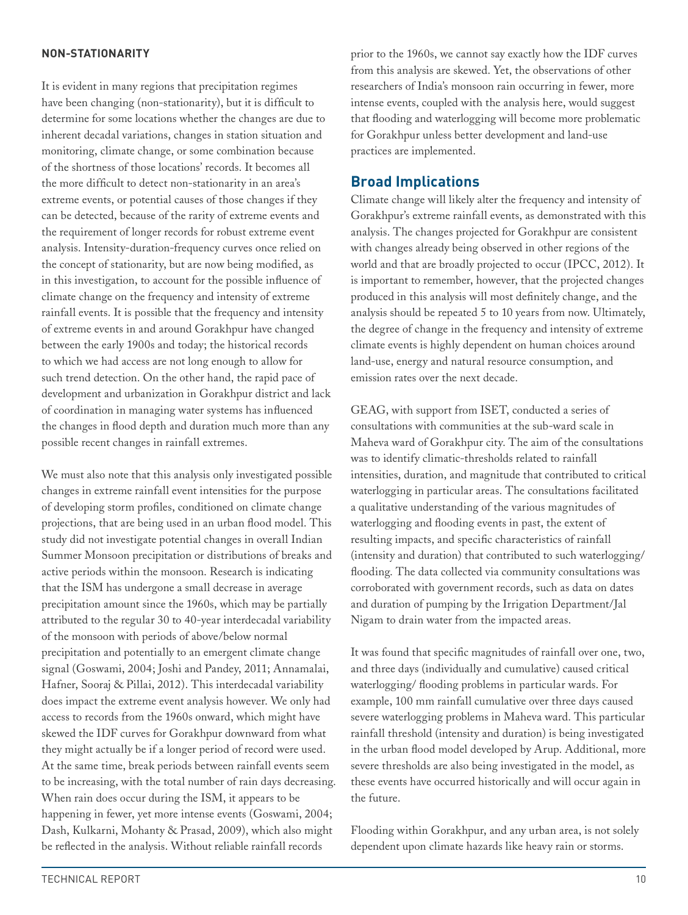### **NON-STATIONARITY**

It is evident in many regions that precipitation regimes have been changing (non-stationarity), but it is difficult to determine for some locations whether the changes are due to inherent decadal variations, changes in station situation and monitoring, climate change, or some combination because of the shortness of those locations' records. It becomes all the more difficult to detect non-stationarity in an area's extreme events, or potential causes of those changes if they can be detected, because of the rarity of extreme events and the requirement of longer records for robust extreme event analysis. Intensity-duration-frequency curves once relied on the concept of stationarity, but are now being modified, as in this investigation, to account for the possible influence of climate change on the frequency and intensity of extreme rainfall events. It is possible that the frequency and intensity of extreme events in and around Gorakhpur have changed between the early 1900s and today; the historical records to which we had access are not long enough to allow for such trend detection. On the other hand, the rapid pace of development and urbanization in Gorakhpur district and lack of coordination in managing water systems has influenced the changes in flood depth and duration much more than any possible recent changes in rainfall extremes.

We must also note that this analysis only investigated possible changes in extreme rainfall event intensities for the purpose of developing storm profiles, conditioned on climate change projections, that are being used in an urban flood model. This study did not investigate potential changes in overall Indian Summer Monsoon precipitation or distributions of breaks and active periods within the monsoon. Research is indicating that the ISM has undergone a small decrease in average precipitation amount since the 1960s, which may be partially attributed to the regular 30 to 40-year interdecadal variability of the monsoon with periods of above/below normal precipitation and potentially to an emergent climate change signal (Goswami, 2004; Joshi and Pandey, 2011; Annamalai, Hafner, Sooraj & Pillai, 2012). This interdecadal variability does impact the extreme event analysis however. We only had access to records from the 1960s onward, which might have skewed the IDF curves for Gorakhpur downward from what they might actually be if a longer period of record were used. At the same time, break periods between rainfall events seem to be increasing, with the total number of rain days decreasing. When rain does occur during the ISM, it appears to be happening in fewer, yet more intense events (Goswami, 2004; Dash, Kulkarni, Mohanty & Prasad, 2009), which also might be reflected in the analysis. Without reliable rainfall records

prior to the 1960s, we cannot say exactly how the IDF curves from this analysis are skewed. Yet, the observations of other researchers of India's monsoon rain occurring in fewer, more intense events, coupled with the analysis here, would suggest that flooding and waterlogging will become more problematic for Gorakhpur unless better development and land-use practices are implemented.

# **Broad Implications**

Climate change will likely alter the frequency and intensity of Gorakhpur's extreme rainfall events, as demonstrated with this analysis. The changes projected for Gorakhpur are consistent with changes already being observed in other regions of the world and that are broadly projected to occur (IPCC, 2012). It is important to remember, however, that the projected changes produced in this analysis will most definitely change, and the analysis should be repeated 5 to 10 years from now. Ultimately, the degree of change in the frequency and intensity of extreme climate events is highly dependent on human choices around land-use, energy and natural resource consumption, and emission rates over the next decade.

GEAG, with support from ISET, conducted a series of consultations with communities at the sub-ward scale in Maheva ward of Gorakhpur city. The aim of the consultations was to identify climatic-thresholds related to rainfall intensities, duration, and magnitude that contributed to critical waterlogging in particular areas. The consultations facilitated a qualitative understanding of the various magnitudes of waterlogging and flooding events in past, the extent of resulting impacts, and specific characteristics of rainfall (intensity and duration) that contributed to such waterlogging/ flooding. The data collected via community consultations was corroborated with government records, such as data on dates and duration of pumping by the Irrigation Department/Jal Nigam to drain water from the impacted areas.

It was found that specific magnitudes of rainfall over one, two, and three days (individually and cumulative) caused critical waterlogging/ flooding problems in particular wards. For example, 100 mm rainfall cumulative over three days caused severe waterlogging problems in Maheva ward. This particular rainfall threshold (intensity and duration) is being investigated in the urban flood model developed by Arup. Additional, more severe thresholds are also being investigated in the model, as these events have occurred historically and will occur again in the future.

Flooding within Gorakhpur, and any urban area, is not solely dependent upon climate hazards like heavy rain or storms.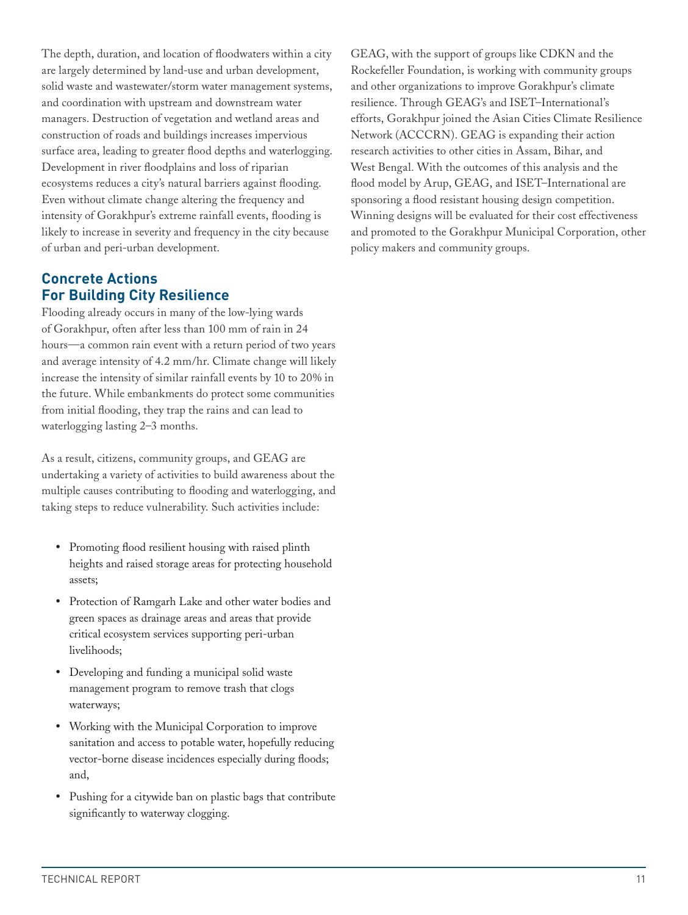The depth, duration, and location of floodwaters within a city are largely determined by land-use and urban development, solid waste and wastewater/storm water management systems, and coordination with upstream and downstream water managers. Destruction of vegetation and wetland areas and construction of roads and buildings increases impervious surface area, leading to greater flood depths and waterlogging. Development in river floodplains and loss of riparian ecosystems reduces a city's natural barriers against flooding. Even without climate change altering the frequency and intensity of Gorakhpur's extreme rainfall events, flooding is likely to increase in severity and frequency in the city because of urban and peri-urban development.

# **Concrete Actions For Building City Resilience**

Flooding already occurs in many of the low-lying wards of Gorakhpur, often after less than 100 mm of rain in 24 hours—a common rain event with a return period of two years and average intensity of 4.2 mm/hr. Climate change will likely increase the intensity of similar rainfall events by 10 to 20% in the future. While embankments do protect some communities from initial flooding, they trap the rains and can lead to waterlogging lasting 2–3 months.

As a result, citizens, community groups, and GEAG are undertaking a variety of activities to build awareness about the multiple causes contributing to flooding and waterlogging, and taking steps to reduce vulnerability. Such activities include:

- Promoting flood resilient housing with raised plinth heights and raised storage areas for protecting household assets;
- • Protection of Ramgarh Lake and other water bodies and green spaces as drainage areas and areas that provide critical ecosystem services supporting peri-urban livelihoods;
- • Developing and funding a municipal solid waste management program to remove trash that clogs waterways;
- • Working with the Municipal Corporation to improve sanitation and access to potable water, hopefully reducing vector-borne disease incidences especially during floods; and,
- Pushing for a citywide ban on plastic bags that contribute significantly to waterway clogging.

GEAG, with the support of groups like CDKN and the Rockefeller Foundation, is working with community groups and other organizations to improve Gorakhpur's climate resilience. Through GEAG's and ISET–International's efforts, Gorakhpur joined the Asian Cities Climate Resilience Network (ACCCRN). GEAG is expanding their action research activities to other cities in Assam, Bihar, and West Bengal. With the outcomes of this analysis and the flood model by Arup, GEAG, and ISET–International are sponsoring a flood resistant housing design competition. Winning designs will be evaluated for their cost effectiveness and promoted to the Gorakhpur Municipal Corporation, other policy makers and community groups.